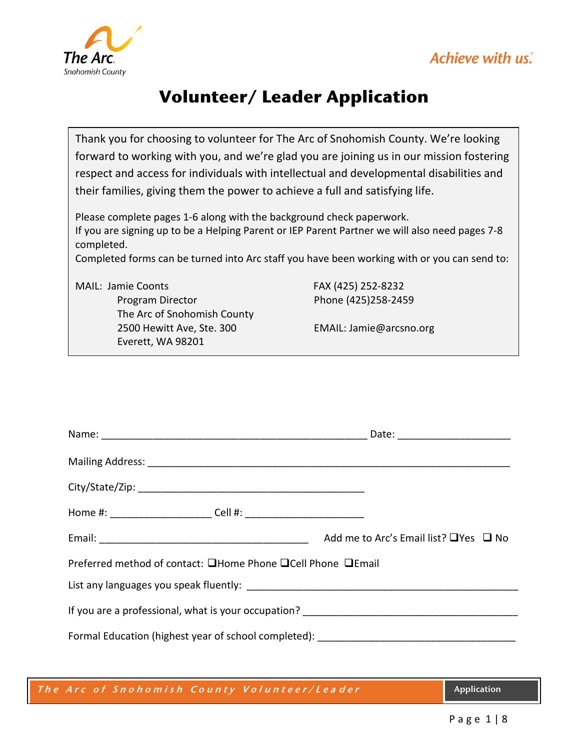



## **Volunteer/ Leader Application**

Thank you for choosing to volunteer for The Arc of Snohomish County. We're looking forward to working with you, and we're glad you are joining us in our mission fostering respect and access for individuals with intellectual and developmental disabilities and their families, giving them the power to achieve a full and satisfying life.

Please complete pages 1-6 along with the background check paperwork. If you are signing up to be a Helping Parent or IEP Parent Partner we will also need pages 7-8 completed.

Completed forms can be turned into Arc staff you have been working with or you can send to:

MAIL: Jamie Coonts FAX (425) 252-8232

Program Director Phone (425)258-2459 The Arc of Snohomish County 2500 Hewitt Ave, Ste. 300 EMAIL: Jamie@arcsno.org Everett, WA 98201

|                                                             | Add me to Arc's Email list? $\Box$ Yes $\Box$ No |  |  |
|-------------------------------------------------------------|--------------------------------------------------|--|--|
| Preferred method of contact: ■Home Phone ■Cell Phone ■Email |                                                  |  |  |
|                                                             |                                                  |  |  |
|                                                             |                                                  |  |  |
| Formal Education (highest year of school completed):        |                                                  |  |  |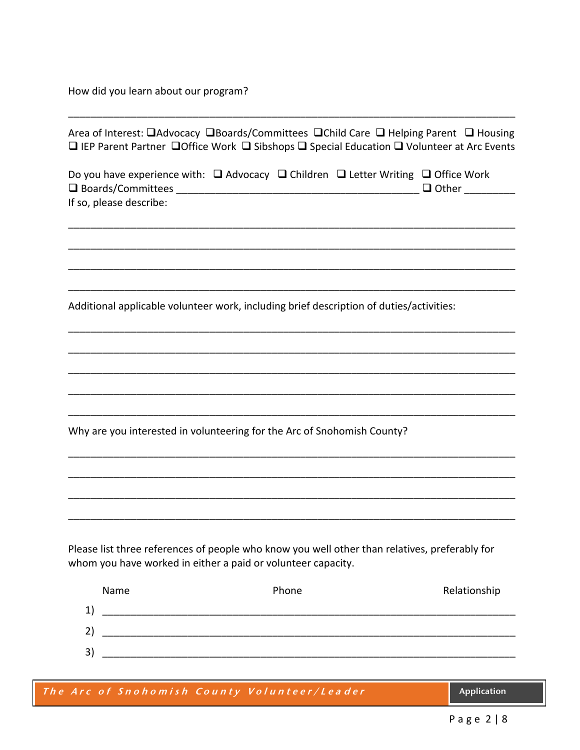How did you learn about our program?

|                         | Area of Interest: □Advocacy □Boards/Committees □Child Care □ Helping Parent □ Housing<br>$\square$ IEP Parent Partner $\square$ Office Work $\square$ Sibshops $\square$ Special Education $\square$ Volunteer at Arc Events |              |
|-------------------------|------------------------------------------------------------------------------------------------------------------------------------------------------------------------------------------------------------------------------|--------------|
| If so, please describe: | Do you have experience with: Q Advocacy Q Children Q Letter Writing Q Office Work                                                                                                                                            | $\Box$ Other |
|                         | Additional applicable volunteer work, including brief description of duties/activities:                                                                                                                                      |              |
|                         |                                                                                                                                                                                                                              |              |
|                         | Why are you interested in volunteering for the Arc of Snohomish County?                                                                                                                                                      |              |
|                         |                                                                                                                                                                                                                              |              |
|                         | Please list three references of people who know you well other than relatives, preferably for<br>whom you have worked in either a paid or volunteer capacity.                                                                |              |
| Name                    | Phone                                                                                                                                                                                                                        | Relationship |

\_\_\_\_\_\_\_\_\_\_\_\_\_\_\_\_\_\_\_\_\_\_\_\_\_\_\_\_\_\_\_\_\_\_\_\_\_\_\_\_\_\_\_\_\_\_\_\_\_\_\_\_\_\_\_\_\_\_\_\_\_\_\_\_\_\_\_\_\_\_\_\_\_\_\_\_\_\_\_

| The Arc of Snohomish County Volunteer/Leader | <b>Application</b> |
|----------------------------------------------|--------------------|
|                                              |                    |
|                                              |                    |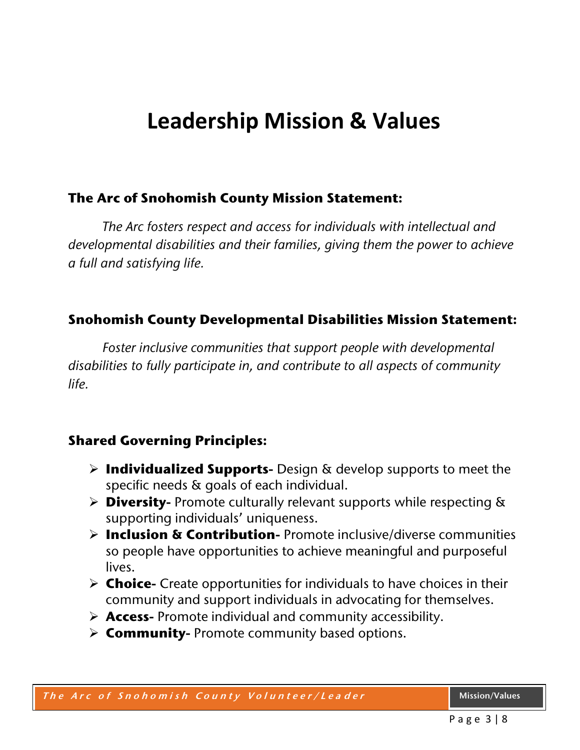# **Leadership Mission & Values**

### **The Arc of Snohomish County Mission Statement:**

*The Arc fosters respect and access for individuals with intellectual and developmental disabilities and their families, giving them the power to achieve a full and satisfying life.*

### **Snohomish County Developmental Disabilities Mission Statement:**

*Foster inclusive communities that support people with developmental disabilities to fully participate in, and contribute to all aspects of community life.*

### **Shared Governing Principles:**

- **Individualized Supports-** Design & develop supports to meet the specific needs & goals of each individual.
- **Diversity-** Promote culturally relevant supports while respecting & supporting individuals' uniqueness.
- **Inclusion & Contribution-** Promote inclusive/diverse communities so people have opportunities to achieve meaningful and purposeful lives.
- **Choice-** Create opportunities for individuals to have choices in their community and support individuals in advocating for themselves.
- **Access-** Promote individual and community accessibility.
- **Community-** Promote community based options.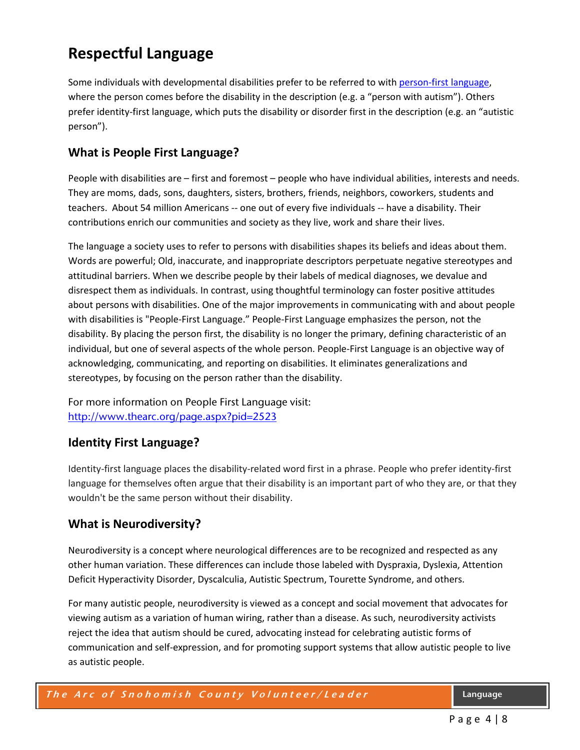## **Respectful Language**

Some individuals with developmental disabilities prefer to be referred to with [person-first language,](http://www.disabilityisnatural.com/explore/people-first-language) where the person comes before the disability in the description (e.g. a "person with autism"). Others prefer identity-first language, which puts the disability or disorder first in the description (e.g. an "autistic person").

#### **What is People First Language?**

People with disabilities are – first and foremost – people who have individual abilities, interests and needs. They are moms, dads, sons, daughters, sisters, brothers, friends, neighbors, coworkers, students and teachers. About 54 million Americans *--* one out of every five individuals *--* have a disability. Their contributions enrich our communities and society as they live, work and share their lives.

The language a society uses to refer to persons with disabilities shapes its beliefs and ideas about them. Words are powerful; Old, inaccurate, and inappropriate descriptors perpetuate negative stereotypes and attitudinal barriers. When we describe people by their labels of medical diagnoses, we devalue and disrespect them as individuals. In contrast, using thoughtful terminology can foster positive attitudes about persons with disabilities. One of the major improvements in communicating with and about people with disabilities is "People-First Language." People-First Language emphasizes the person, not the disability. By placing the person first, the disability is no longer the primary, defining characteristic of an individual, but one of several aspects of the whole person. People-First Language is an objective way of acknowledging, communicating, and reporting on disabilities. It eliminates generalizations and stereotypes, by focusing on the person rather than the disability.

For more information on People First Language visit: <http://www.thearc.org/page.aspx?pid=2523>

#### **Identity First Language?**

Identity-first language places the disability-related word first in a phrase. People who prefer identity-first language for themselves often argue that their disability is an important part of who they are, or that they wouldn't be the same person without their disability.

#### **What is Neurodiversity?**

Neurodiversity is a concept where neurological differences are to be recognized and respected as any other human variation. These differences can include those labeled with Dyspraxia, Dyslexia, Attention Deficit Hyperactivity Disorder, Dyscalculia, Autistic Spectrum, Tourette Syndrome, and others.

For many autistic people, neurodiversity is viewed as a concept and social movement that advocates for viewing autism as a variation of human wiring, rather than a disease. As such, neurodiversity activists reject the idea that autism should be cured, advocating instead for celebrating autistic forms of communication and self-expression, and for promoting support systems that allow autistic people to live as autistic people.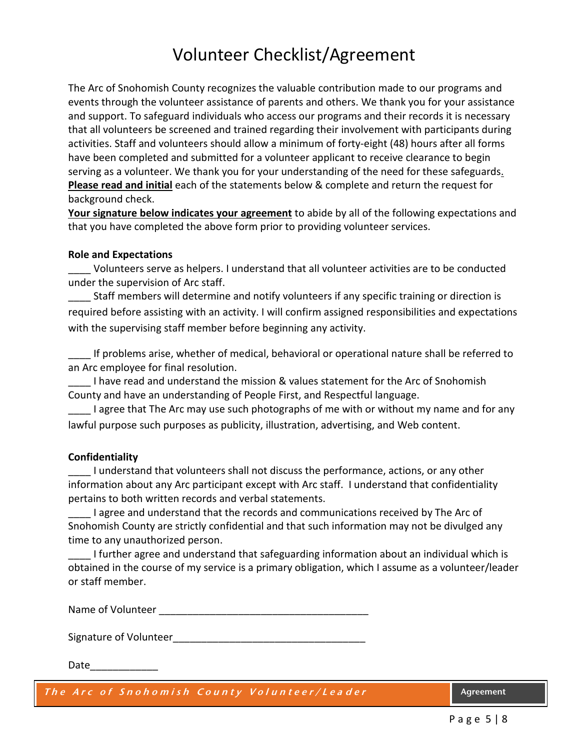## Volunteer Checklist/Agreement

The Arc of Snohomish County recognizes the valuable contribution made to our programs and events through the volunteer assistance of parents and others. We thank you for your assistance and support. To safeguard individuals who access our programs and their records it is necessary that all volunteers be screened and trained regarding their involvement with participants during activities. Staff and volunteers should allow a minimum of forty-eight (48) hours after all forms have been completed and submitted for a volunteer applicant to receive clearance to begin serving as a volunteer. We thank you for your understanding of the need for these safeguards. **Please read and initial** each of the statements below & complete and return the request for background check.

**Your signature below indicates your agreement** to abide by all of the following expectations and that you have completed the above form prior to providing volunteer services.

#### **Role and Expectations**

Volunteers serve as helpers. I understand that all volunteer activities are to be conducted under the supervision of Arc staff.

Staff members will determine and notify volunteers if any specific training or direction is required before assisting with an activity. I will confirm assigned responsibilities and expectations with the supervising staff member before beginning any activity.

If problems arise, whether of medical, behavioral or operational nature shall be referred to an Arc employee for final resolution.

I have read and understand the mission & values statement for the Arc of Snohomish County and have an understanding of People First, and Respectful language.

I agree that The Arc may use such photographs of me with or without my name and for any lawful purpose such purposes as publicity, illustration, advertising, and Web content.

#### **Confidentiality**

I understand that volunteers shall not discuss the performance, actions, or any other information about any Arc participant except with Arc staff. I understand that confidentiality pertains to both written records and verbal statements.

I agree and understand that the records and communications received by The Arc of Snohomish County are strictly confidential and that such information may not be divulged any time to any unauthorized person.

\_\_\_\_ I further agree and understand that safeguarding information about an individual which is obtained in the course of my service is a primary obligation, which I assume as a volunteer/leader or staff member.

Name of Volunteer **Name of Volunteer** 

Signature of Volunteer

Date\_\_\_\_\_\_\_\_\_\_\_\_

**The Arc of Snohomish County Volunteer/Lea der Agreement**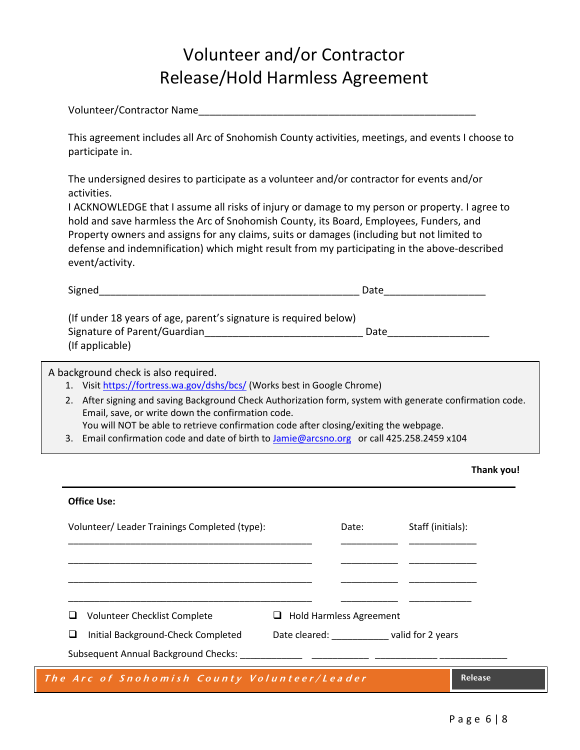## Volunteer and/or Contractor Release/Hold Harmless Agreement

Volunteer/Contractor Name\_\_\_\_\_\_\_\_\_\_\_\_\_\_\_\_\_\_\_\_\_\_\_\_\_\_\_\_\_\_\_\_\_\_\_\_\_\_\_\_\_\_\_\_\_\_\_\_\_

This agreement includes all Arc of Snohomish County activities, meetings, and events I choose to participate in.

The undersigned desires to participate as a volunteer and/or contractor for events and/or activities.

I ACKNOWLEDGE that I assume all risks of injury or damage to my person or property. I agree to hold and save harmless the Arc of Snohomish County, its Board, Employees, Funders, and Property owners and assigns for any claims, suits or damages (including but not limited to defense and indemnification) which might result from my participating in the above-described event/activity.

| Signed                                                           | Date |
|------------------------------------------------------------------|------|
| (If under 18 years of age, parent's signature is required below) |      |
| Signature of Parent/Guardian                                     | Date |
| (If applicable)                                                  |      |

A background check is also required.

- 1. Visit <https://fortress.wa.gov/dshs/bcs/> (Works best in Google Chrome)
- 2. After signing and saving Background Check Authorization form, system with generate confirmation code. Email, save, or write down the confirmation code. You will NOT be able to retrieve confirmation code after closing/exiting the webpage.
- 3. Email confirmation code and date of birth to [Jamie@arcsno.org](mailto:Jamie@arcsno.org) or call 425.258.2459 x104

| Thank you! |  |
|------------|--|
|------------|--|

#### **Office Use:**

| Volunteer/Leader Trainings Completed (type): |                                             | Date:                           | Staff (initials): |
|----------------------------------------------|---------------------------------------------|---------------------------------|-------------------|
|                                              |                                             |                                 |                   |
|                                              |                                             |                                 |                   |
|                                              |                                             |                                 |                   |
|                                              |                                             |                                 |                   |
|                                              | Volunteer Checklist Complete                | $\Box$ Hold Harmless Agreement  |                   |
|                                              | Initial Background-Check Completed          | Date cleared: valid for 2 years |                   |
|                                              | <b>Subsequent Annual Background Checks:</b> |                                 |                   |
|                                              |                                             |                                 |                   |

**The Arc of Snohomish County Volunteer/Lea der Release**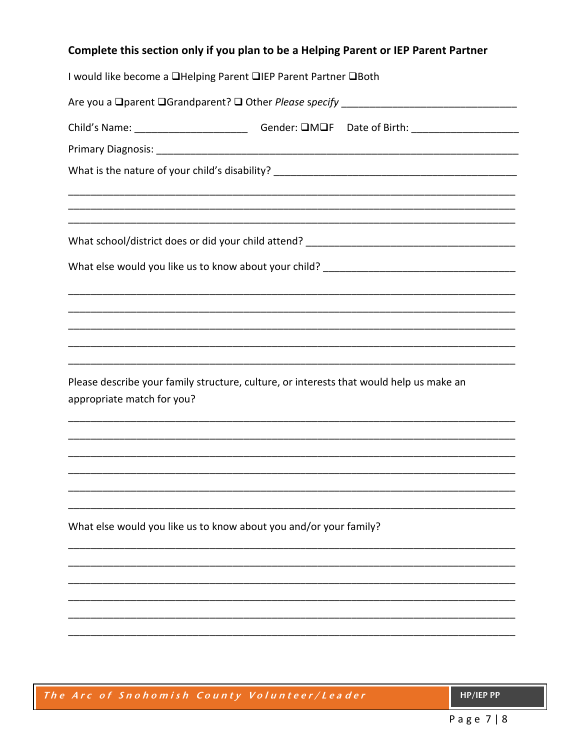### Complete this section only if you plan to be a Helping Parent or IEP Parent Partner

| I would like become a □Helping Parent □IEP Parent Partner □Both                                      |
|------------------------------------------------------------------------------------------------------|
|                                                                                                      |
| Child's Name: ________________________________Gender: DMOF Date of Birth: __________________________ |
|                                                                                                      |
|                                                                                                      |
|                                                                                                      |
|                                                                                                      |
|                                                                                                      |
|                                                                                                      |
|                                                                                                      |
|                                                                                                      |
|                                                                                                      |
|                                                                                                      |
| Please describe your family structure, culture, or interests that would help us make an              |
| appropriate match for you?                                                                           |
|                                                                                                      |
|                                                                                                      |
|                                                                                                      |
|                                                                                                      |
| What else would you like us to know about you and/or your family?                                    |
|                                                                                                      |
|                                                                                                      |
|                                                                                                      |
|                                                                                                      |
|                                                                                                      |
|                                                                                                      |

|  | The Arc of Snohomish County Volunteer/Leader |
|--|----------------------------------------------|
|--|----------------------------------------------|

HP/IEP PP